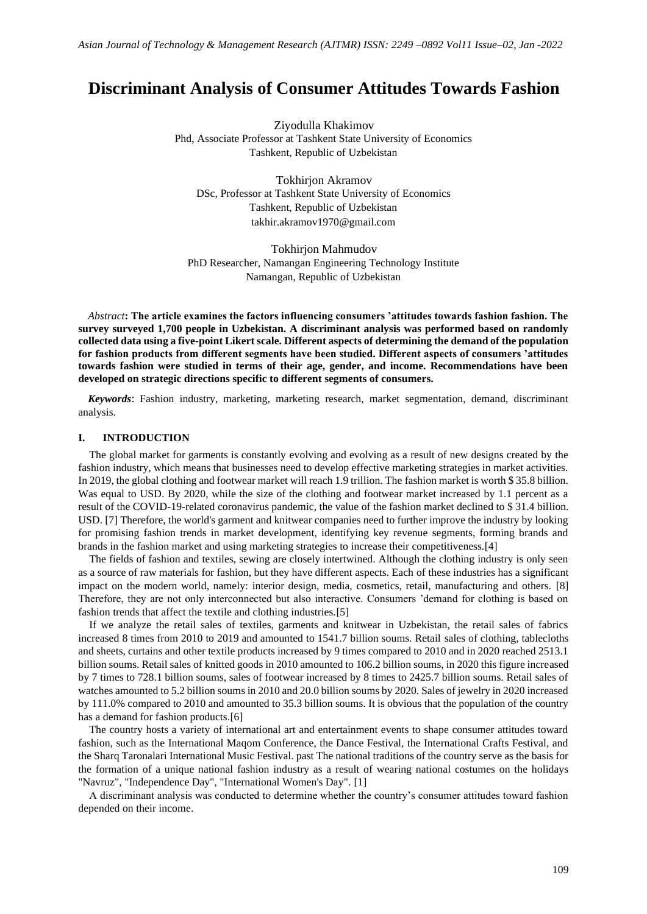# **Discriminant Analysis of Consumer Attitudes Towards Fashion**

Ziyodulla Khakimov Phd, Associate Professor at Tashkent State University of Economics Tashkent, Republic of Uzbekistan

Tokhirjon Akramov DSc, Professor at Tashkent State University of Economics Tashkent, Republic of Uzbekistan takhir.akramov1970@gmail.com

Tokhirjon Mahmudov PhD Researcher, Namangan Engineering Technology Institute Namangan, Republic of Uzbekistan

*Abstract***: The article examines the factors influencing consumers 'attitudes towards fashion fashion. The survey surveyed 1,700 people in Uzbekistan. A discriminant analysis was performed based on randomly collected data using a five-point Likert scale. Different aspects of determining the demand of the population for fashion products from different segments have been studied. Different aspects of consumers 'attitudes towards fashion were studied in terms of their age, gender, and income. Recommendations have been developed on strategic directions specific to different segments of consumers.**

*Keywords*: Fashion industry, marketing, marketing research, market segmentation, demand, discriminant analysis.

#### **I. INTRODUCTION**

The global market for garments is constantly evolving and evolving as a result of new designs created by the fashion industry, which means that businesses need to develop effective marketing strategies in market activities. In 2019, the global clothing and footwear market will reach 1.9 trillion. The fashion market is worth \$ 35.8 billion. Was equal to USD. By 2020, while the size of the clothing and footwear market increased by 1.1 percent as a result of the COVID-19-related coronavirus pandemic, the value of the fashion market declined to \$ 31.4 billion. USD. [7] Therefore, the world's garment and knitwear companies need to further improve the industry by looking for promising fashion trends in market development, identifying key revenue segments, forming brands and brands in the fashion market and using marketing strategies to increase their competitiveness.[4]

The fields of fashion and textiles, sewing are closely intertwined. Although the clothing industry is only seen as a source of raw materials for fashion, but they have different aspects. Each of these industries has a significant impact on the modern world, namely: interior design, media, cosmetics, retail, manufacturing and others. [8] Therefore, they are not only interconnected but also interactive. Consumers 'demand for clothing is based on fashion trends that affect the textile and clothing industries.[5]

If we analyze the retail sales of textiles, garments and knitwear in Uzbekistan, the retail sales of fabrics increased 8 times from 2010 to 2019 and amounted to 1541.7 billion soums. Retail sales of clothing, tablecloths and sheets, curtains and other textile products increased by 9 times compared to 2010 and in 2020 reached 2513.1 billion soums. Retail sales of knitted goods in 2010 amounted to 106.2 billion soums, in 2020 this figure increased by 7 times to 728.1 billion soums, sales of footwear increased by 8 times to 2425.7 billion soums. Retail sales of watches amounted to 5.2 billion soums in 2010 and 20.0 billion soums by 2020. Sales of jewelry in 2020 increased by 111.0% compared to 2010 and amounted to 35.3 billion soums. It is obvious that the population of the country has a demand for fashion products.[6]

The country hosts a variety of international art and entertainment events to shape consumer attitudes toward fashion, such as the International Maqom Conference, the Dance Festival, the International Crafts Festival, and the Sharq Taronalari International Music Festival. past The national traditions of the country serve as the basis for the formation of a unique national fashion industry as a result of wearing national costumes on the holidays "Navruz", "Independence Day", "International Women's Day". [1]

A discriminant analysis was conducted to determine whether the country's consumer attitudes toward fashion depended on their income.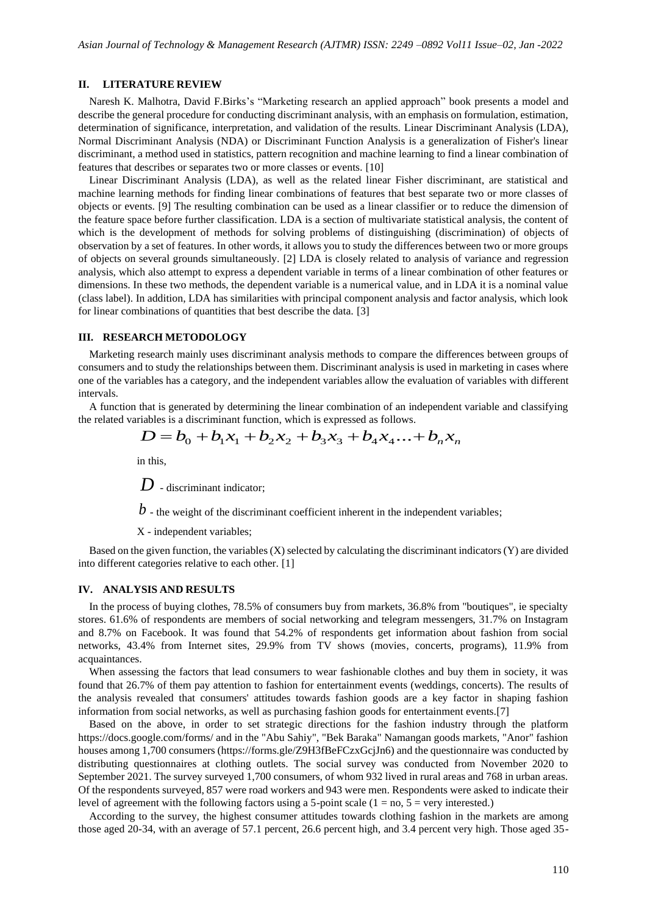#### **II. LITERATURE REVIEW**

Naresh K. Malhotra, David F.Birks's "Marketing research an applied approach" book presents a model and describe the general procedure for conducting discriminant analysis, with an emphasis on formulation, estimation, determination of significance, interpretation, and validation of the results. Linear Discriminant Analysis (LDA), Normal Discriminant Analysis (NDA) or Discriminant Function Analysis is a generalization of Fisher's linear discriminant, a method used in statistics, pattern recognition and machine learning to find a linear combination of features that describes or separates two or more classes or events. [10]

Linear Discriminant Analysis (LDA), as well as the related linear Fisher discriminant, are statistical and machine learning methods for finding linear combinations of features that best separate two or more classes of objects or events. [9] The resulting combination can be used as a linear classifier or to reduce the dimension of the feature space before further classification. LDA is a section of multivariate statistical analysis, the content of which is the development of methods for solving problems of distinguishing (discrimination) of objects of observation by a set of features. In other words, it allows you to study the differences between two or more groups of objects on several grounds simultaneously. [2] LDA is closely related to analysis of variance and regression analysis, which also attempt to express a dependent variable in terms of a linear combination of other features or dimensions. In these two methods, the dependent variable is a numerical value, and in LDA it is a nominal value (class label). In addition, LDA has similarities with principal component analysis and factor analysis, which look for linear combinations of quantities that best describe the data. [3]

#### **III. RESEARCH METODOLOGY**

Marketing research mainly uses discriminant analysis methods to compare the differences between groups of consumers and to study the relationships between them. Discriminant analysis is used in marketing in cases where one of the variables has a category, and the independent variables allow the evaluation of variables with different intervals.

A function that is generated by determining the linear combination of an independent variable and classifying the related variables is a discriminant function, which is expressed as follows.

$$
D = b_0 + b_1 x_1 + b_2 x_2 + b_3 x_3 + b_4 x_4 ... + b_n x_n
$$

in this,

*D* - discriminant indicator;

 $b$  - the weight of the discriminant coefficient inherent in the independent variables;

X - independent variables;

Based on the given function, the variables (X) selected by calculating the discriminant indicators (Y) are divided into different categories relative to each other. [1]

#### **IV. ANALYSIS AND RESULTS**

In the process of buying clothes, 78.5% of consumers buy from markets, 36.8% from "boutiques", ie specialty stores. 61.6% of respondents are members of social networking and telegram messengers, 31.7% on Instagram and 8.7% on Facebook. It was found that 54.2% of respondents get information about fashion from social networks, 43.4% from Internet sites, 29.9% from TV shows (movies, concerts, programs), 11.9% from acquaintances.

When assessing the factors that lead consumers to wear fashionable clothes and buy them in society, it was found that 26.7% of them pay attention to fashion for entertainment events (weddings, concerts). The results of the analysis revealed that consumers' attitudes towards fashion goods are a key factor in shaping fashion information from social networks, as well as purchasing fashion goods for entertainment events.[7]

Based on the above, in order to set strategic directions for the fashion industry through the platform https://docs.google.com/forms/ and in the "Abu Sahiy", "Bek Baraka" Namangan goods markets, "Anor" fashion houses among 1,700 consumers (https://forms.gle/Z9H3fBeFCzxGcjJn6) and the questionnaire was conducted by distributing questionnaires at clothing outlets. The social survey was conducted from November 2020 to September 2021. The survey surveyed 1,700 consumers, of whom 932 lived in rural areas and 768 in urban areas. Of the respondents surveyed, 857 were road workers and 943 were men. Respondents were asked to indicate their level of agreement with the following factors using a 5-point scale  $(1 = no, 5 = very interested.)$ 

According to the survey, the highest consumer attitudes towards clothing fashion in the markets are among those aged 20-34, with an average of 57.1 percent, 26.6 percent high, and 3.4 percent very high. Those aged 35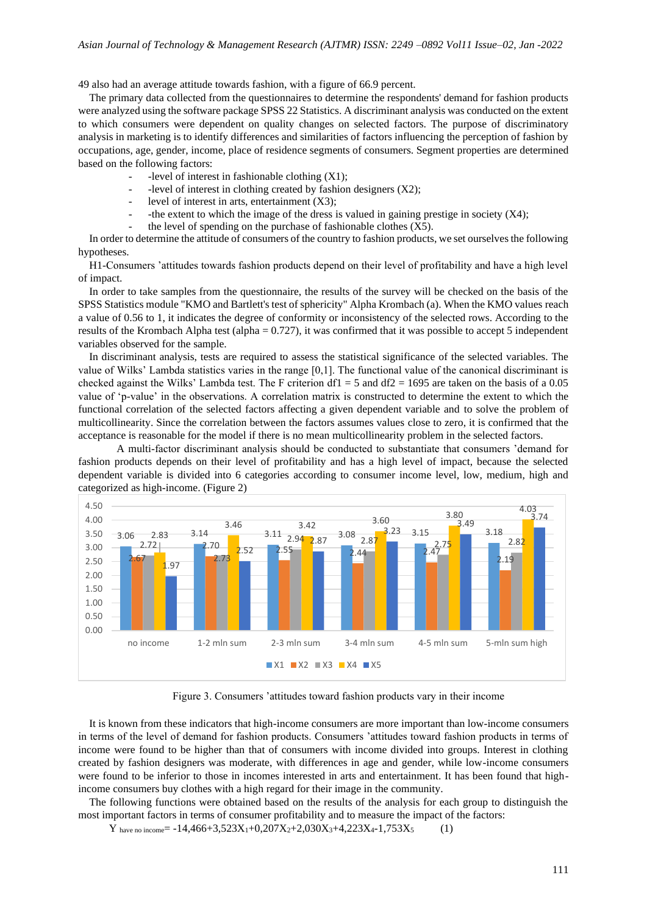49 also had an average attitude towards fashion, with a figure of 66.9 percent.

The primary data collected from the questionnaires to determine the respondents' demand for fashion products were analyzed using the software package SPSS 22 Statistics. A discriminant analysis was conducted on the extent to which consumers were dependent on quality changes on selected factors. The purpose of discriminatory analysis in marketing is to identify differences and similarities of factors influencing the perception of fashion by occupations, age, gender, income, place of residence segments of consumers. Segment properties are determined based on the following factors:

- -level of interest in fashionable clothing  $(X1)$ ;
- -level of interest in clothing created by fashion designers (X2);
- level of interest in arts, entertainment  $(X3)$ ;
- the extent to which the image of the dress is valued in gaining prestige in society  $(X4)$ ;
- the level of spending on the purchase of fashionable clothes  $(X5)$ .

In order to determine the attitude of consumers of the country to fashion products, we set ourselves the following hypotheses.

H1-Consumers 'attitudes towards fashion products depend on their level of profitability and have a high level of impact.

In order to take samples from the questionnaire, the results of the survey will be checked on the basis of the SPSS Statistics module "KMO and Bartlett's test of sphericity" Alpha Krombach (a). When the KMO values reach a value of 0.56 to 1, it indicates the degree of conformity or inconsistency of the selected rows. According to the results of the Krombach Alpha test (alpha = 0.727), it was confirmed that it was possible to accept 5 independent variables observed for the sample.

In discriminant analysis, tests are required to assess the statistical significance of the selected variables. The value of Wilks' Lambda statistics varies in the range [0,1]. The functional value of the canonical discriminant is checked against the Wilks' Lambda test. The F criterion df1 = 5 and df2 = 1695 are taken on the basis of a 0.05 value of 'p-value' in the observations. A correlation matrix is constructed to determine the extent to which the functional correlation of the selected factors affecting a given dependent variable and to solve the problem of multicollinearity. Since the correlation between the factors assumes values close to zero, it is confirmed that the acceptance is reasonable for the model if there is no mean multicollinearity problem in the selected factors.

A multi-factor discriminant analysis should be conducted to substantiate that consumers 'demand for fashion products depends on their level of profitability and has a high level of impact, because the selected dependent variable is divided into 6 categories according to consumer income level, low, medium, high and categorized as high-income. (Figure 2)



Figure 3. Consumers 'attitudes toward fashion products vary in their income

It is known from these indicators that high-income consumers are more important than low-income consumers in terms of the level of demand for fashion products. Consumers 'attitudes toward fashion products in terms of income were found to be higher than that of consumers with income divided into groups. Interest in clothing created by fashion designers was moderate, with differences in age and gender, while low-income consumers were found to be inferior to those in incomes interested in arts and entertainment. It has been found that highincome consumers buy clothes with a high regard for their image in the community.

The following functions were obtained based on the results of the analysis for each group to distinguish the most important factors in terms of consumer profitability and to measure the impact of the factors:

 $Y_{\text{have no income}} = -14,466+3,523X_1+0,207X_2+2,030X_3+4,223X_4-1,753X_5$  (1)